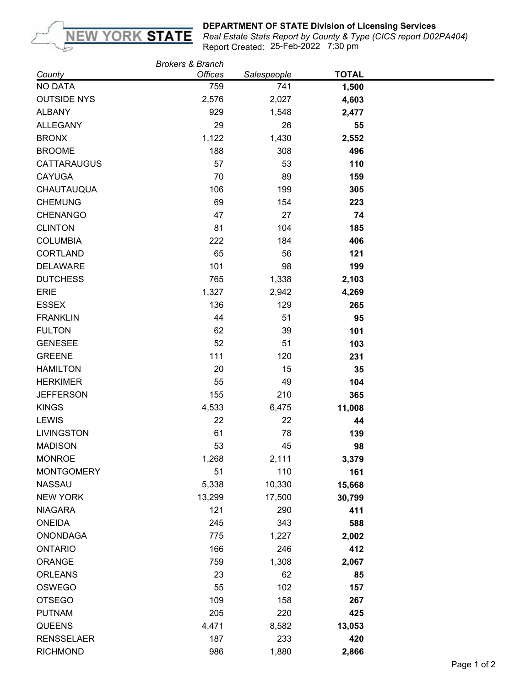

## **DEPARTMENT OF STATE Division of Licensing Services**

25-Feb-2022 7:30 pm *Real Estate Stats Report by County & Type (CICS report D02PA404)* Report Created:

|                    | <b>Brokers &amp; Branch</b> |             |              |  |
|--------------------|-----------------------------|-------------|--------------|--|
| County             | <b>Offices</b>              | Salespeople | <b>TOTAL</b> |  |
| <b>NO DATA</b>     | 759                         | 741         | 1,500        |  |
| <b>OUTSIDE NYS</b> | 2,576                       | 2,027       | 4,603        |  |
| <b>ALBANY</b>      | 929                         | 1,548       | 2,477        |  |
| <b>ALLEGANY</b>    | 29                          | 26          | 55           |  |
| <b>BRONX</b>       | 1,122                       | 1,430       | 2,552        |  |
| <b>BROOME</b>      | 188                         | 308         | 496          |  |
| <b>CATTARAUGUS</b> | 57                          | 53          | 110          |  |
| <b>CAYUGA</b>      | 70                          | 89          | 159          |  |
| CHAUTAUQUA         | 106                         | 199         | 305          |  |
| <b>CHEMUNG</b>     | 69                          | 154         | 223          |  |
| <b>CHENANGO</b>    | 47                          | 27          | 74           |  |
| <b>CLINTON</b>     | 81                          | 104         | 185          |  |
| <b>COLUMBIA</b>    | 222                         | 184         | 406          |  |
| <b>CORTLAND</b>    | 65                          | 56          | 121          |  |
| <b>DELAWARE</b>    | 101                         | 98          | 199          |  |
| <b>DUTCHESS</b>    | 765                         | 1,338       | 2,103        |  |
| <b>ERIE</b>        | 1,327                       | 2,942       | 4,269        |  |
| <b>ESSEX</b>       | 136                         | 129         | 265          |  |
| <b>FRANKLIN</b>    | 44                          | 51          | 95           |  |
| <b>FULTON</b>      | 62                          | 39          | 101          |  |
| <b>GENESEE</b>     | 52                          | 51          | 103          |  |
| <b>GREENE</b>      | 111                         | 120         | 231          |  |
| <b>HAMILTON</b>    | 20                          | 15          | 35           |  |
| <b>HERKIMER</b>    | 55                          | 49          | 104          |  |
| <b>JEFFERSON</b>   | 155                         | 210         | 365          |  |
| <b>KINGS</b>       | 4,533                       | 6,475       | 11,008       |  |
| <b>LEWIS</b>       | 22                          | 22          | 44           |  |
| <b>LIVINGSTON</b>  | 61                          | 78          | 139          |  |
| <b>MADISON</b>     | 53                          | 45          | 98           |  |
| <b>MONROE</b>      | 1,268                       | 2,111       | 3,379        |  |
| <b>MONTGOMERY</b>  | 51                          | 110         | 161          |  |
| <b>NASSAU</b>      | 5,338                       | 10,330      | 15,668       |  |
| <b>NEW YORK</b>    | 13,299                      | 17,500      | 30,799       |  |
| <b>NIAGARA</b>     | 121                         | 290         | 411          |  |
| <b>ONEIDA</b>      | 245                         | 343         | 588          |  |
| <b>ONONDAGA</b>    | 775                         | 1,227       | 2,002        |  |
| <b>ONTARIO</b>     | 166                         | 246         | 412          |  |
| <b>ORANGE</b>      | 759                         | 1,308       | 2,067        |  |
| <b>ORLEANS</b>     | 23                          | 62          | 85           |  |
| OSWEGO             | 55                          | 102         | 157          |  |
| <b>OTSEGO</b>      | 109                         | 158         | 267          |  |
| <b>PUTNAM</b>      | 205                         | 220         | 425          |  |
| QUEENS             | 4,471                       | 8,582       | 13,053       |  |
| <b>RENSSELAER</b>  | 187                         | 233         | 420          |  |
| <b>RICHMOND</b>    | 986                         | 1,880       |              |  |
|                    |                             |             | 2,866        |  |